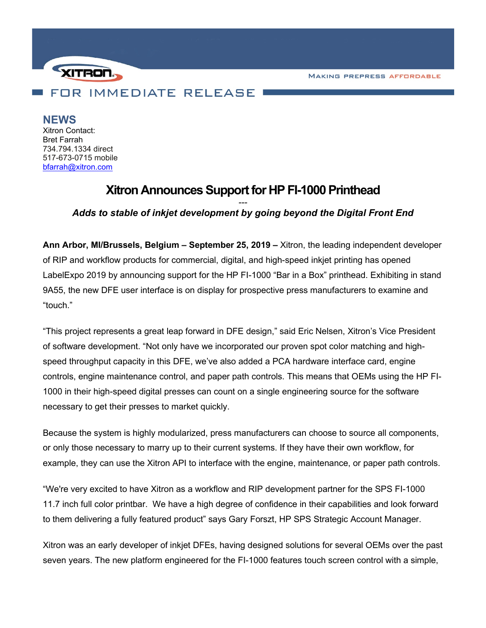**MAKING PREPRESS AFFORDABLE** 



**NEWS** Xitron Contact: Bret Farrah 734.794.1334 direct 517-673-0715 mobile

[bfarrah@xitron.com](mailto:bfarrah@xitron.com)

## **Xitron Announces Support for HP FI-1000 Printhead**

## *--- Adds to stable of inkjet development by going beyond the Digital Front End*

**Ann Arbor, MI/Brussels, Belgium – September 25, 2019 –** Xitron, the leading independent developer of RIP and workflow products for commercial, digital, and high-speed inkjet printing has opened LabelExpo 2019 by announcing support for the HP FI-1000 "Bar in a Box" printhead. Exhibiting in stand 9A55, the new DFE user interface is on display for prospective press manufacturers to examine and "touch."

"This project represents a great leap forward in DFE design," said Eric Nelsen, Xitron's Vice President of software development. "Not only have we incorporated our proven spot color matching and highspeed throughput capacity in this DFE, we've also added a PCA hardware interface card, engine controls, engine maintenance control, and paper path controls. This means that OEMs using the HP FI-1000 in their high-speed digital presses can count on a single engineering source for the software necessary to get their presses to market quickly.

Because the system is highly modularized, press manufacturers can choose to source all components, or only those necessary to marry up to their current systems. If they have their own workflow, for example, they can use the Xitron API to interface with the engine, maintenance, or paper path controls.

"We're very excited to have Xitron as a workflow and RIP development partner for the SPS FI-1000 11.7 inch full color printbar. We have a high degree of confidence in their capabilities and look forward to them delivering a fully featured product" says Gary Forszt, HP SPS Strategic Account Manager.

Xitron was an early developer of inkjet DFEs, having designed solutions for several OEMs over the past seven years. The new platform engineered for the FI-1000 features touch screen control with a simple,